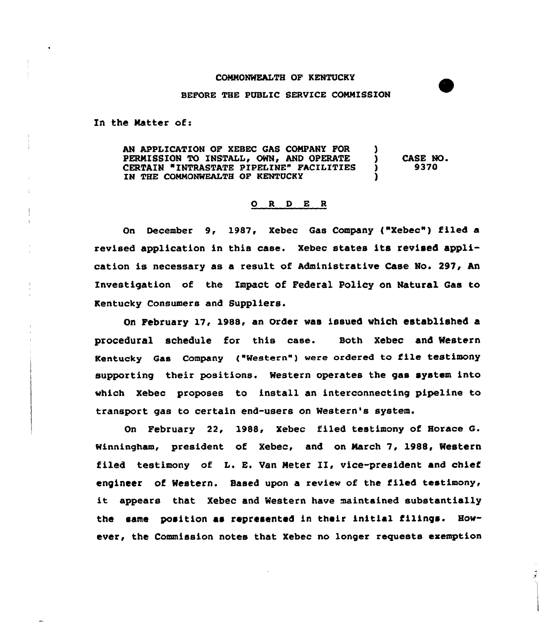## COMHONWEALTH OF KENTUCKY

## BEFORE THE PUBLIC SERVICE COMMISSION

In the Natter of:

AN APPLICATION OF XEBEC GAS COMPANY FOR )<br>PERMISSION TO INSTALL, OWN, AND OPERATE PERMISSION TO INSTALL, OWN, AND OPERATE ) CASE NO.<br>CERTAIN "INTRASTATE PIPELINE" FACILITIES ) 9370 CERTAIN "INTRASTATE PIPELINE" FACILITIES IN THE COMMONWEALTH OF KENTUCKY

## 0 <sup>R</sup> <sup>D</sup> <sup>E</sup> <sup>R</sup>

On December 9, 1987, Xebec Gas Company {"Xebec") filed a revised application in this case. Xebec states its revised application is necessary as a result of Administrative Case No. 297, An Investigation of the Impact of Federal Policy on Natural Gas to Kentucky Consumers and Suppliers.

On February 17, 1988, an Order was issued which established a procedural schedule for this case. Both Xebec and Western Kentucky Gas Company ("Western") were ordered to file testimony supporting their positions. Western operates the gas system into which Xebec proposes to install an interconnecting pipeline to transport gas to certain end-users on Western's system.

On February 22, 1988, Xebec filed testimony of Horace G. winningham, president of xebec, and on March 7, 1988, Western filed testimony of L. E. Van Heter II, vice-president and chief engineer of Western. Based upon a review of the filed testimony, it appears that Xebec and Western have maintained substantially the same position as represented in their initial filings. However, the Commission notes that Xebec no longer requests exemption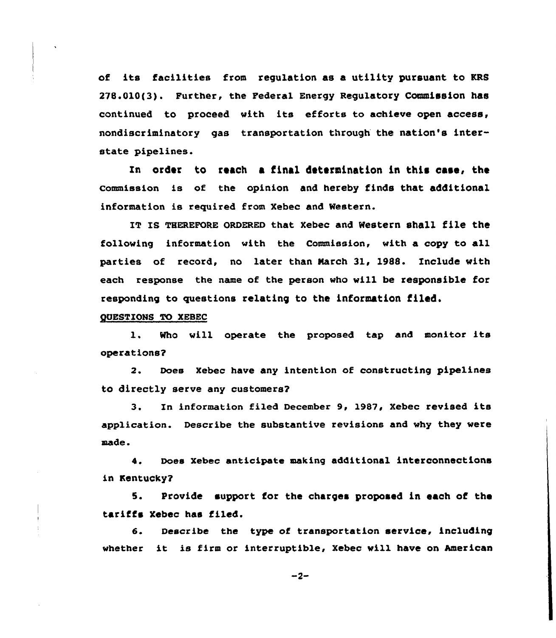of its facilities from regulation as a utility pursuant to KRS 278.010(3j. Further, the Federal Energy Regulatory Commission has continued to proceed with its efforts to achieve open access, nondiscriminatory gas transportatian through the nation's interstate pipelines.

In order to reach a final determination in this case, the commission is of the opinion and hereby finds that additional information is required from Xebec and Western.

IT Is THEREFoRE QRDERED that xebec and western shall file the following information with the Commission, with a copy to all parties of record, no later than March 31, 1988. Include with each response the name of the person who will be responsible for responding to questions relating to the information tiled.

QUESTIONS TO XEBEC

1. Who will operate the proposed tap and monitor its operations?

2. Does Xebec have any intention of constructing pipelines to directly serve any customers?

3. In information filed December 9, 1987, Xebec revised its applicatian. Describe the substantive revisions and why they were made.

4. Does xebec anticipate making additional interconnections in Kentucky?

5. Provide support for the charges proposed in each of the tariffs Xebec has filed.

6. Describe the type of transportation service, including whether it is firm or interruptible, Xebec will have on American

 $-2-$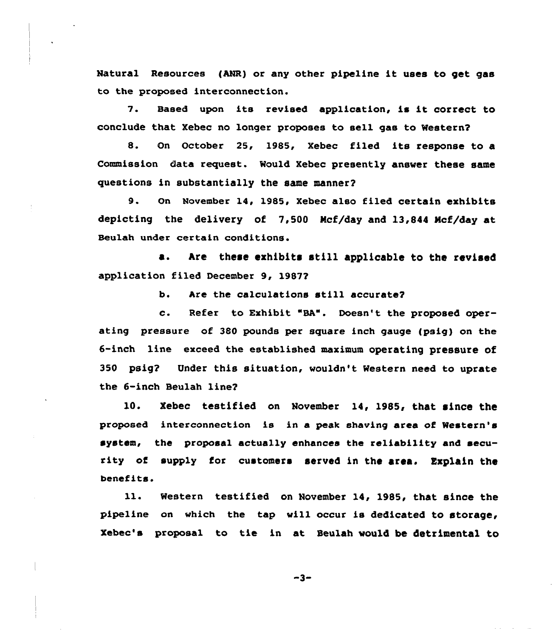Natural Resources (ANR) or any other pipeline it uses to get gas to the proposed interconnection.

7. Based upon its revised application, is it correct to conclude that Xebec no longer proposes to sell gas to Mestern2

8. On October 25, 1985, Xebec filed its response to a Commission data request. Would Xebec presently answer these same questions in substantially the same manner?

9. On November 14, 1985, Xebec also filed certain exhibits depicting the delivery of 7,500 Ncf/day and 13,844 Ncf/day at Beulah under certain conditions.

a. Are these exhibits still applicable to the revised application filed December 9, 19872

b. Are the calculations still accurate?

c. Refer to Exhibit "BA". Doesn't the proposed operating pressure of 380 pounds per square inch gauge (psig) on the 6-inch line exceed the established maximum operating pressure of 350 psig? Under this situation, wouldn't Western need to uprate the 6-inch Beulah line?

10. Xebec testified on November 14, 1985, that since the proposed interconnection is in a peak shaving area of Western's system, the proposal actually enhances the reliability and security of supply for customers served in the area. Explain the benefits.

ll. Western testified on November 14, 1985, that since the pipeline on which the tap will occur is dedicated to storage, Xebec's proposal to tie in at Seulah would be detrimental to

 $-3-$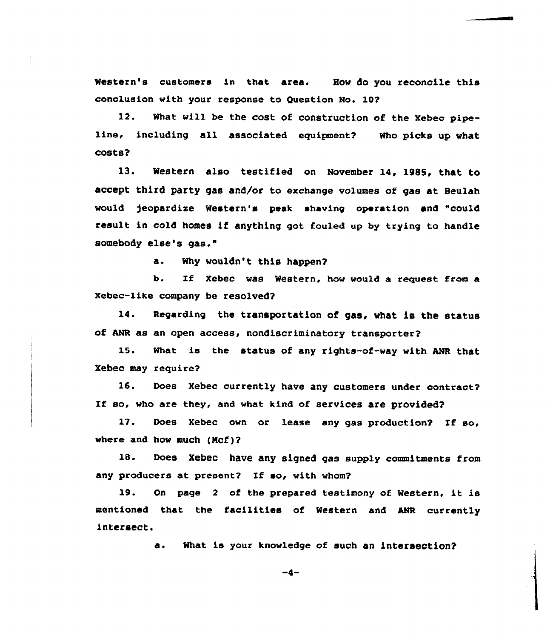Western's customers in that area. How do you reconcile this conclusion with your response to Question No. 10?

12. What will be the cost of construction of the Xebec pipeline, including all associated equipment? Who picks up what costs?

13. Western also testified on November 14, 1985, that to accept third party gas and/or to exchange volumes of gas at Beulah would jeopardize Western's peak shaving operation and "could result in cold homes if anything got fouled up by trying to handle somebody else's gas."

a. Why wouldn't this happen?

b. If Xebec was Western, how would a request from a Xebec-1ike company be resolved?

14. Regarding the transportation of gas, what is the status of ANR as an open access, nondiscriminatory transporter?

15. What is the status of any rights-of-way with ANR that Xebec may require?

16. Does Xebec currently have any customers under contract? If so, who are they, and what kind of services are provided?

17. Does Xebec own or lease any gas production? If so, where and how much  $(Mcf)$ ?

18. Does Xebec have any signed gas supply commitments from any producers at present? If so, with whom?

19. On page <sup>2</sup> of the prepared testimony of Western, it is mentioned that the facilities of Western and ANR currently intersect.

a. What is your knowledge of such an intersection?

 $-4-$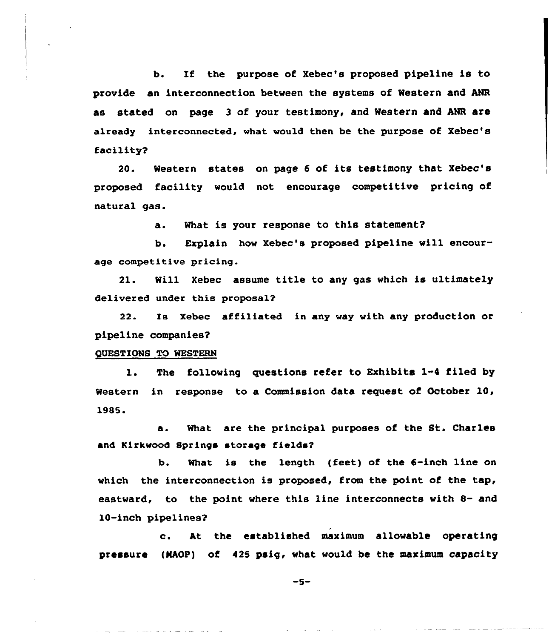b. If the purpose of Xebec's proposed pipeline is to provide an interconnection between the systems of Western and ANR as stated on page 3 of your testimony, and Western and ANR are already interconnected, what would then be the purpose of Xebec's facility?

20. Western states on page <sup>6</sup> of its testimony that Xebec's proposed facility would not encourage competitive pricing of natural gas.

a. What is your response to this statement?

b. Explain how Xebec's proposed pipeline will encourage competitive pricing.

21. Will Xebec assume title to any gas which is ultimately delivered under this proposal?

22. Is Xebec affiliated in any way with any production or pipeline companies2

## QUESTIONS TO WESTERN

1. The following questions refer to Exhibits 1-4 filed by Western in response to a Commission data request of October 10, 1985.

a. What are the principal purposes of the St. Charles and Kirkwood Springs storage fields?

b. What is the length (feet) of the 6-inch line on which the interconnection is proposed, from the point of the tap, eastward, to the point where this line interconnects with 8- and 10-inch pipelines2

c. At the established maximum allowable operating pressure (NAOP) of 425 psig, what would be the maximum capacity

 $-5-$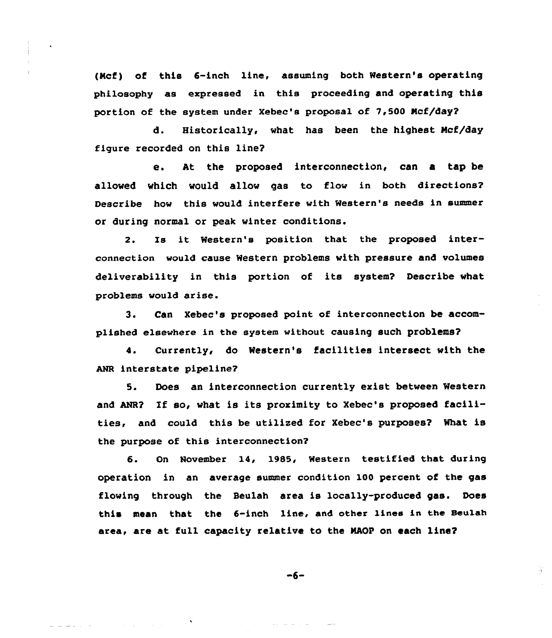(Ncf) of this 6-inch line, assuming both Western's operating philosophy as expressed in this proceeding and operating this portion of the system under Xebec's proposal of 7,500 Ncf/day?

d. Historically, what has been the highest Ncf/day figure recorded on this line?

e. At the proposed interconnection, can a tap be allowed which would allow gas to flow in both directions? Describe how this would interfere with Western's needs in summer or during normal or peak winter conditions.

2. is it Western's position that the proposed interconnection would cause Western problems with pressure and volumes deliverability in this portion of its system? Describe what problems would arise.

3. Can Xebec's proposed point of interconnection be accomplished e1sewhere in the system without causing such problems?

4. Currently< do Western's facilities intersect with the ANR interstate pipeline?

5. Does an interconnection currently exist between Western and ANR? If so, what is its proximity to Xebec's proposed facilities, and could this be utilized for Xebec's purposes? What is the purpose of this interconnection?

6. On November 14, 1985, Western testified that during operation in an average summer condition 100 percent of the gas flowing through the Beulah area is locally-produced gas. Does this mean that the 6-inch line, and other 1incs in the Beulah area, are at full capacity relative to the MAOP on each line?

$$
-6-
$$

量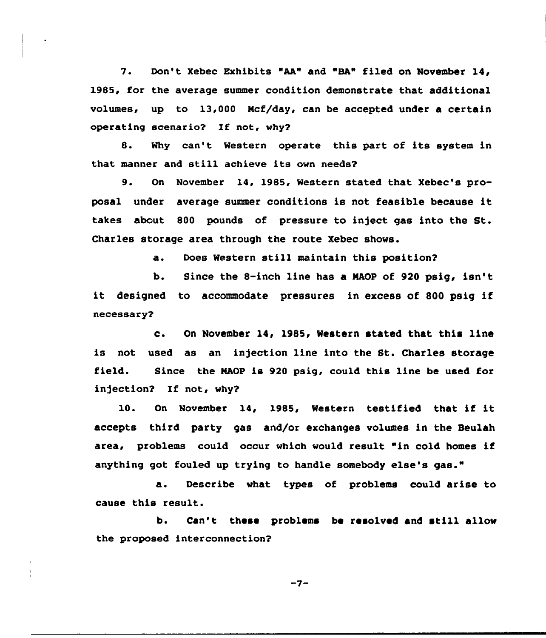7. Don't Xebec Exhibits "AA" and "BA" filed on November 14, 1985, for the average summer condition demonstrate that additional volumes, up to 13,000 Ncf/day, can be accepted under a certain operating scenario? If not, why?

8. Why can't Western operate this part of its system in that manner and still achieve its own needs?

9. On November 14, 1985, Western stated that Xebec's proposal under average summer conditions is not feasible because it takes about <sup>800</sup> pounds of pressure to inject gas into the St. Charles storage area through the route Xebec shows.

a. Does Western still maintain this position?

b. Since the &-inch line has a NAOP of 920 psig, isn' it designed to accommodate pressures in excess of <sup>800</sup> psig if necessary2

c. On November 14, 1985, Western stated that this line is not used as an injection line into the St. Charles storage field. Since the NAOP is 920 psig, could this line be used for infection? If not, why?

10. On November 14, 1985, Western testified that if it accepts third party gas and/or exchanges volumes in the Beulah area, problems could occur which would result "in cold homes if anything got fouled up trying to handle somebody else's gas."

a. Describe what types of problems could arise to cause this result.

b. Can't these problems be resolved and still allow the proposed interconnection?

 $-7-$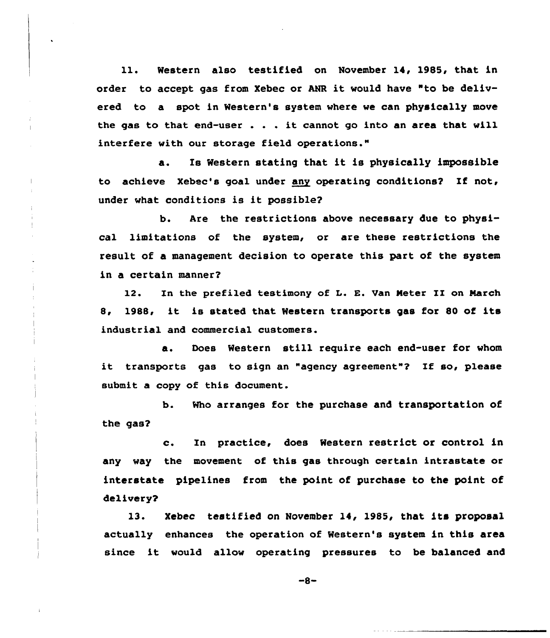ll. Western also testified on November 14, 1985, that in order to accept gas from Xebec or MR it would have "to be delivered to a spot in Western's system where we can physically move the gas to that end-user . . . it cannot go into an area that will interfere with our storage field operations."

a. Is Western stating that it is physically impossible to achieve Xebec's goal under any operating conditions? If not, under what conditions is it possible?

b. Are the restrictions above necessary due to physical limitations of the system, or are these restrictions the result of a management decision to operate this part of the system in a certain manner?

12. In the prefiled testimony of L. E. Van Meter II on March 8, 1988, it is stated that Western transports gas for <sup>80</sup> of its industrial and commercial customers.

a. Does Western still require each end-user for whom it transports gas to sign an "agency agreement"? If so, please submit a copy of this document.

b. Who arranges for the purchase and transportation of the gas?

c. In practice, does Western restrict or control in any way the movement of this gas through certain intrastate or interstate pipelines from the point of purchase to the point of delivery?

13. Xebec testified on November 14, 1985, that its proposal actually enhances the operation of Western's system in this area since it would allow operating pressures to be balanced and

 $-8-$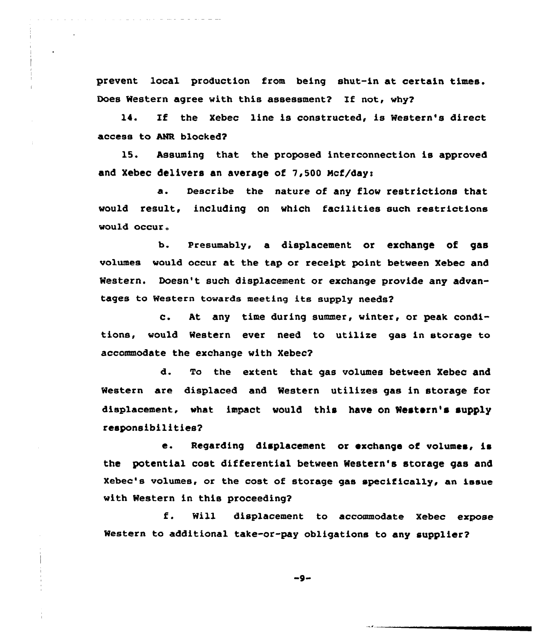prevent local production from being shut-in at certain times. Does Western agree with this assessment? If not, why?

14. If the Xebec line is constructed, is Western's direct access to ANR blocked?

l5. Assuming that the proposed interconnection is approved and Xebec delivers an average of 7,500 Mcf/day:

a. Describe the nature of any flow restrictions that would result, including on which facilities such restrictions would occur.

b. Presumably, a displacement or exchange of gas volumes would occur at the tap or receipt point between Xebec and Western. Doesn't such displacement or exchange provide any advantages to Western towards meeting its supply needs?

c. At any time during summer, winter, or peak conditions, would Western ever need to utilize gas in storage to accommodate the exchange with Xebec?

d. To the extent that gas volumes between Xebec and Western are displaced and Western utilizes gas in storage for displacement, what impact would this have on Western's supply responsibilities?

e. Regarding displacement or exchange of volumes, is the potential cost differential between Western's storage gas and Xebec's volumes, or the cost of storage gas specifically, an issue with Western in this proceeding?

f. Will displacement to accommodate Xebec expose Western to additional take-or-pay obligations to any supplier?

 $-9-$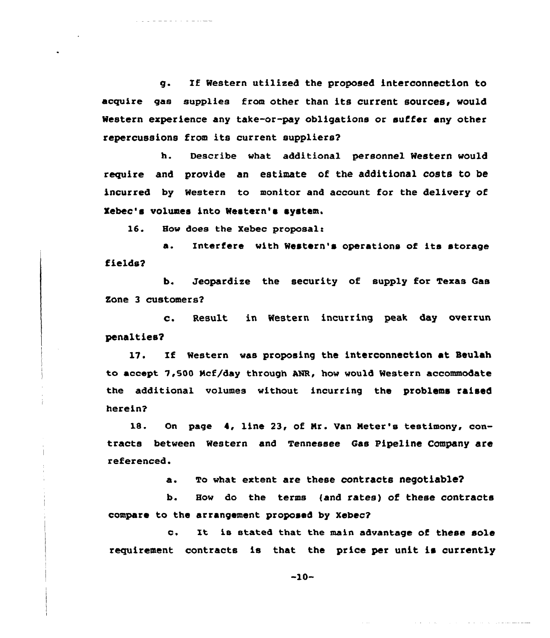g. Zf Western utilised the proposed interconnection to acquire gas supplies from other than its current sources, would Western experience any take-or-pay obligations or suffer any other repercussions from its current suppliers?

h. Describe what additional personnel Western would require and provide an estimate of the additional costs to be incurred by Western to monitor and account for the delivery of Xebec's volumes into Western's system.

16. How does the Xebec proposal:

a. Interfere with Western's operations of its storage fields2

b. Jeopardize the security of supply for Texas Cas Zone 3 customers?

c. Result in Western incurring peak day overrun penalties?

17. If Western was proposing the interconnection at Beulah to accept 7,500 Mcf/day through ANR, how would Western accommodate the additional volumes without incurring the problems raised herein?

18. On page 4, line 23, of Mr. Van Meter's testimony, contracts between Western and Tennessee Cas Pipeline Company are referenced.

a. To what extent are these contracts negotiable?

b. How do the terms (and rates) of these contracts compare to the arrangement proposed by Xebec7

c. It is stated that the main advantage of these sole requitement contracts is that the price per unit is currently

 $-10-$ 

فتحصص فالمحاوي المرابط المراجع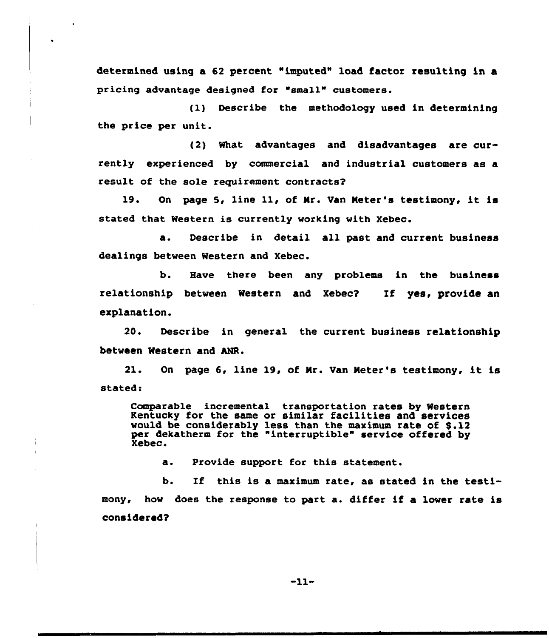determined using a 62 percent "imputed" load factor resulting in a pricing advantage designed for "small" customers.

(1) Describe the methodology used in determining the price per unit.

{2) What advantages and disadvantages are currently experienced by commercial and industrial customers as a result of the sole reguirement contracts?

19. On page 5, line ll, of Mr. Van Meter's testimony, it is stated that Western is currently working with Xebec.

a. Describe in detail all past and current business dealings between Western and Xebec.

b. Have there been any problems in the business relationship between Western and Xebec2 If yes, provide an explanation.

20. Describe in general the current business relationship between Western and hNR.

21. On page 6, line 19, of Nr. Van Meter's testimony, it is stated:

Comparable incremental transportation rates by Western Kentucky for the same or similar facilities and services would be considerably less than the maximum rate of \$.12 per dekatherm for the "interruptible" service offered by Xebec.

a. Provide support for this statement.

b. If this is a maximum rate, as stated in the testimony, how does the response to part a. differ if a lower rate is considered?